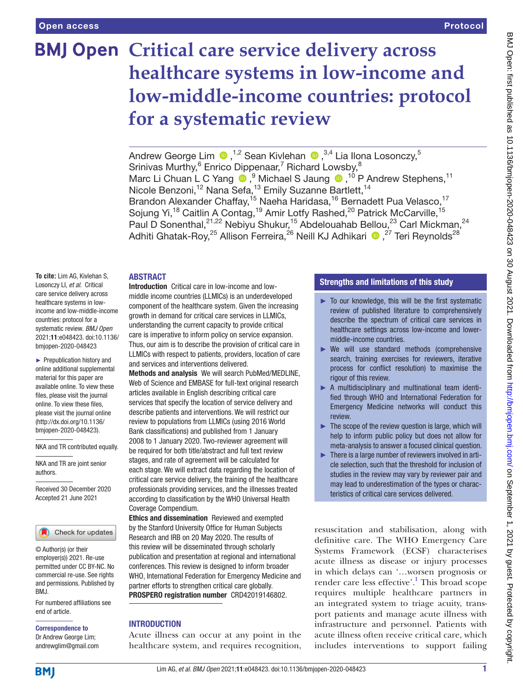# **BMJ Open Critical care service delivery across healthcare systems in low-income and low-middle-income countries: protocol for a systematic review**

AndrewGeorge Lim  $\bigcirc$ ,<sup>1,2</sup> Sean Kivlehan  $\bigcirc$ ,<sup>3,4</sup> Lia Ilona Losonczy,<sup>5</sup> Srinivas Murthy,<sup>6</sup> Enrico Dippenaar,<sup>7</sup> Richard Lowsby,<sup>8</sup> MarcLi Chuan L C Yang  $\bigcirc$ ,  $9$  Michael S Jaung  $\bigcirc$ ,  $10$  P Andrew Stephens,  $11$ Nicole Benzoni,<sup>12</sup> Nana Sefa,<sup>13</sup> Emily Suzanne Bartlett,<sup>14</sup> Brandon Alexander Chaffay,<sup>15</sup> Naeha Haridasa,<sup>16</sup> Bernadett Pua Velasco,<sup>17</sup> Sojung Yi,<sup>18</sup> Caitlin A Contag,<sup>19</sup> Amir Lotfy Rashed,<sup>20</sup> Patrick McCarville,<sup>15</sup> Paul D Sonenthal,<sup>21,22</sup> Nebiyu Shukur,<sup>15</sup> Abdelouahab Bellou,<sup>23</sup> Carl Mickman,<sup>24</sup> Adhiti Ghatak-Roy,<sup>25</sup> Allison Ferreira,<sup>26</sup> Neill KJ Adhikari (D, <sup>27</sup> Teri Reynolds<sup>28</sup>

## ABSTRACT

**To cite:** Lim AG, Kivlehan S, Losonczy LI, *et al*. Critical care service delivery across healthcare systems in lowincome and low-middle-income countries: protocol for a systematic review. *BMJ Open* 2021;11:e048423. doi:10.1136/ bmjopen-2020-048423

► Prepublication history and online additional supplemental material for this paper are available online. To view these files, please visit the journal online. To view these files, please visit the journal online (http://dx.doi.org/10.1136/ bmjopen-2020-048423).

NKA and TR contributed equally.

NKA and TR are joint senior authors.

Received 30 December 2020 Accepted 21 June 2021



© Author(s) (or their employer(s)) 2021. Re-use permitted under CC BY-NC. No commercial re-use. See rights and permissions. Published by BMJ.

For numbered affiliations see end of article.

#### Correspondence to

Dr Andrew George Lim; andrewglim@gmail.com

Introduction Critical care in low-income and lowmiddle income countries (LLMICs) is an underdeveloped component of the healthcare system. Given the increasing growth in demand for critical care services in LLMICs, understanding the current capacity to provide critical care is imperative to inform policy on service expansion. Thus, our aim is to describe the provision of critical care in LLMICs with respect to patients, providers, location of care and services and interventions delivered.

Methods and analysis We will search PubMed/MEDLINE, Web of Science and EMBASE for full-text original research articles available in English describing critical care services that specify the location of service delivery and describe patients and interventions. We will restrict our review to populations from LLMICs (using 2016 World Bank classifications) and published from 1 January 2008 to 1 January 2020. Two-reviewer agreement will be required for both title/abstract and full text review stages, and rate of agreement will be calculated for each stage. We will extract data regarding the location of critical care service delivery, the training of the healthcare professionals providing services, and the illnesses treated according to classification by the WHO Universal Health Coverage Compendium.

Ethics and dissemination Reviewed and exempted by the Stanford University Office for Human Subjects Research and IRB on 20 May 2020. The results of this review will be disseminated through scholarly publication and presentation at regional and international conferences. This review is designed to inform broader WHO, International Federation for Emergency Medicine and partner efforts to strengthen critical care globally. PROSPERO registration number CRD42019146802.

## INTRODUCTION

Acute illness can occur at any point in the healthcare system, and requires recognition,

## Strengths and limitations of this study

- ► To our knowledge, this will be the first systematic review of published literature to comprehensively describe the spectrum of critical care services in healthcare settings across low-income and lowermiddle-income countries.
- ► We will use standard methods (comprehensive search, training exercises for reviewers, iterative process for conflict resolution) to maximise the rigour of this review.
- ► A multidisciplinary and multinational team identified through WHO and International Federation for Emergency Medicine networks will conduct this review.
- $\blacktriangleright$  The scope of the review question is large, which will help to inform public policy but does not allow for meta-analysis to answer a focused clinical question.
- ► There is a large number of reviewers involved in article selection, such that the threshold for inclusion of studies in the review may vary by reviewer pair and may lead to underestimation of the types or characteristics of critical care services delivered.

resuscitation and stabilisation, along with definitive care. The WHO Emergency Care Systems Framework (ECSF) characterises acute illness as disease or injury processes in which delays can '…worsen prognosis or render care less effective'.<sup>[1](#page-6-0)</sup> This broad scope requires multiple healthcare partners in an integrated system to triage acuity, transport patients and manage acute illness with infrastructure and personnel. Patients with acute illness often receive critical care, which includes interventions to support failing

**BMI**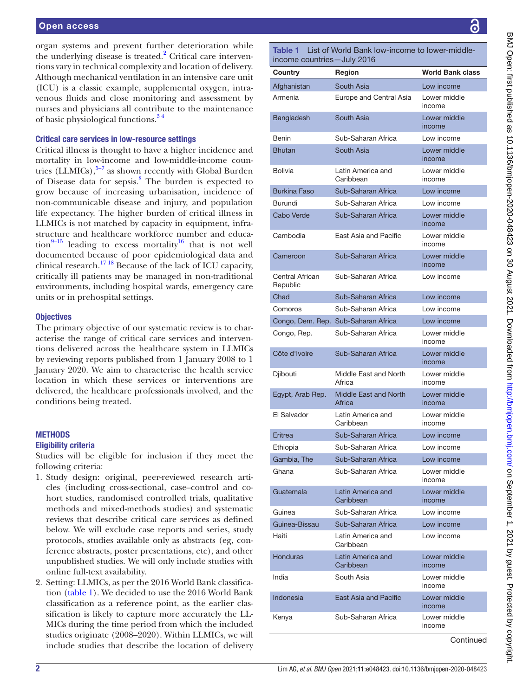organ systems and prevent further deterioration while the underlying disease is treated.<sup>2</sup> Critical care interventions vary in technical complexity and location of delivery. Although mechanical ventilation in an intensive care unit (ICU) is a classic example, supplemental oxygen, intravenous fluids and close monitoring and assessment by nurses and physicians all contribute to the maintenance of basic physiological functions[.3 4](#page-6-2)

## Critical care services in low-resource settings

Critical illness is thought to have a higher incidence and mortality in low-income and low-middle-income countries  $(LLMICs)$ ,<sup>5–7</sup> as shown recently with Global Burden of Disease data for sepsis.<sup>[8](#page-6-4)</sup> The burden is expected to grow because of increasing urbanisation, incidence of non-communicable disease and injury, and population life expectancy. The higher burden of critical illness in LLMICs is not matched by capacity in equipment, infrastructure and healthcare workforce number and education<sup>9–15</sup> leading to excess mortality<sup>16</sup> that is not well documented because of poor epidemiological data and clinical research[.17 18](#page-6-7) Because of the lack of ICU capacity, critically ill patients may be managed in non-traditional environments, including hospital wards, emergency care units or in prehospital settings.

#### **Objectives**

The primary objective of our systematic review is to characterise the range of critical care services and interventions delivered across the healthcare system in LLMICs by reviewing reports published from 1 January 2008 to 1 January 2020. We aim to characterise the health service location in which these services or interventions are delivered, the healthcare professionals involved, and the conditions being treated.

## **METHODS**

#### Eligibility criteria

Studies will be eligible for inclusion if they meet the following criteria:

- 1. Study design: original, peer-reviewed research articles (including cross-sectional, case–control and cohort studies, randomised controlled trials, qualitative methods and mixed-methods studies) and systematic reviews that describe critical care services as defined below. We will exclude case reports and series, study protocols, studies available only as abstracts (eg, conference abstracts, poster presentations, etc), and other unpublished studies. We will only include studies with online full-text availability.
- 2. Setting: LLMICs, as per the 2016 World Bank classification ([table](#page-1-0) 1). We decided to use the 2016 World Bank classification as a reference point, as the earlier classification is likely to capture more accurately the LL-MICs during the time period from which the included studies originate (2008–2020). Within LLMICs, we will include studies that describe the location of delivery

<span id="page-1-0"></span>Table 1 List of World Bank low-income to lower-middleincome countries—July 2016

| Country                     | Region                                 | <b>World Bank class</b> |  |
|-----------------------------|----------------------------------------|-------------------------|--|
| Afghanistan                 | South Asia                             | Low income              |  |
| Armenia                     | Europe and Central Asia                | Lower middle<br>income  |  |
| Bangladesh                  | South Asia                             | Lower middle<br>income  |  |
| Benin                       | Sub-Saharan Africa                     | Low income              |  |
| <b>Bhutan</b>               | South Asia                             | Lower middle<br>income  |  |
| <b>Bolivia</b>              | Latin America and<br>Caribbean         | Lower middle<br>income  |  |
| <b>Burkina Faso</b>         | Sub-Saharan Africa                     | Low income              |  |
| Burundi                     | Sub-Saharan Africa                     | Low income              |  |
| <b>Cabo Verde</b>           | Sub-Saharan Africa                     | Lower middle<br>income  |  |
| Cambodia                    | East Asia and Pacific                  | Lower middle<br>income  |  |
| Cameroon                    | Sub-Saharan Africa                     | Lower middle<br>income  |  |
| Central African<br>Republic | Sub-Saharan Africa                     | Low income              |  |
| Chad                        | Sub-Saharan Africa                     | Low income              |  |
| Comoros                     | Sub-Saharan Africa                     | Low income              |  |
|                             | Congo, Dem. Rep. Sub-Saharan Africa    | Low income              |  |
| Congo, Rep.                 | Sub-Saharan Africa                     | Lower middle<br>income  |  |
| Côte d'Ivoire               | Sub-Saharan Africa                     | Lower middle<br>income  |  |
| Djibouti                    | Middle East and North<br>Africa        | Lower middle<br>income  |  |
| Egypt, Arab Rep.            | <b>Middle East and North</b><br>Africa | Lower middle<br>income  |  |
| El Salvador                 | Latin America and<br>Caribbean         | Lower middle<br>income  |  |
| Eritrea                     | Sub-Saharan Africa                     | Low income              |  |
| Ethiopia                    | Sub-Saharan Africa                     | Low income              |  |
| Gambia, The                 | Sub-Saharan Africa                     | Low income              |  |
| Ghana                       | Sub-Saharan Africa                     | Lower middle<br>income  |  |
| Guatemala                   | Latin America and<br>Caribbean         | Lower middle<br>income  |  |
| Guinea                      | Sub-Saharan Africa                     | Low income              |  |
| Guinea-Bissau               | Sub-Saharan Africa                     | Low income              |  |
| Haiti                       | Latin America and<br>Caribbean         | Low income              |  |
| <b>Honduras</b>             | Latin America and<br>Caribbean         | Lower middle<br>income  |  |
| India                       | South Asia                             | Lower middle<br>income  |  |
| Indonesia                   | <b>East Asia and Pacific</b>           | Lower middle<br>income  |  |
| Kenya                       | Sub-Saharan Africa                     | Lower middle<br>income  |  |
|                             |                                        |                         |  |

**Continued**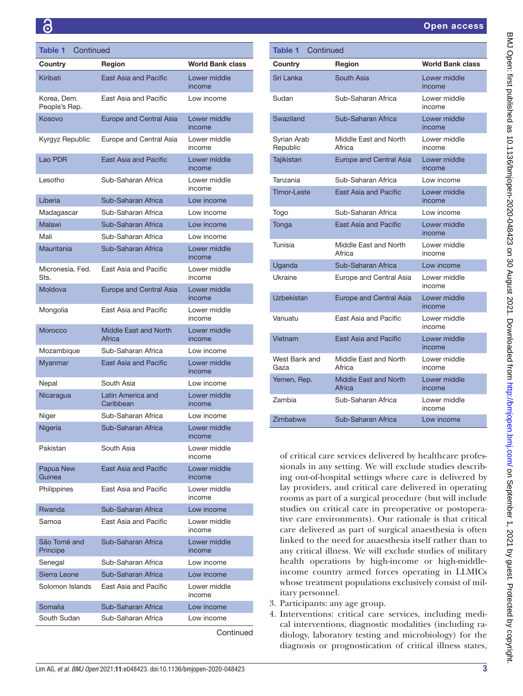| Table 1<br>Continued         |                                 |                         |  |  |
|------------------------------|---------------------------------|-------------------------|--|--|
| Country                      | Region                          | <b>World Bank class</b> |  |  |
| Kiribati                     | East Asia and Pacific           | Lower middle<br>income  |  |  |
| Korea, Dem.<br>People's Rep. | East Asia and Pacific           | Low income              |  |  |
| Kosovo                       | Europe and Central Asia         | Lower middle<br>income  |  |  |
| Kyrgyz Republic              | Europe and Central Asia         | Lower middle<br>income  |  |  |
| Lao PDR                      | <b>East Asia and Pacific</b>    | Lower middle<br>income  |  |  |
| Lesotho                      | Sub-Saharan Africa              | Lower middle<br>income  |  |  |
| Liberia                      | Sub-Saharan Africa              | Low income              |  |  |
| Madagascar                   | Sub-Saharan Africa              | Low income              |  |  |
| <b>Malawi</b>                | Sub-Saharan Africa              | Low income              |  |  |
| Mali                         | Sub-Saharan Africa              | I ow income             |  |  |
| Mauritania                   | Sub-Saharan Africa              | Lower middle<br>income  |  |  |
| Micronesia, Fed.<br>Sts.     | East Asia and Pacific           | Lower middle<br>income  |  |  |
| Moldova                      | <b>Europe and Central Asia</b>  | Lower middle<br>income  |  |  |
| Mongolia                     | East Asia and Pacific           | Lower middle<br>income  |  |  |
| Morocco                      | Middle East and North<br>Africa | Lower middle<br>income  |  |  |
| Mozambique                   | Sub-Saharan Africa              | Low income              |  |  |
| Myanmar                      | <b>East Asia and Pacific</b>    | Lower middle<br>income  |  |  |
| Nepal                        | South Asia                      | Low income              |  |  |
| Nicaragua                    | Latin America and<br>Caribbean  | Lower middle<br>income  |  |  |
| Niger                        | Sub-Saharan Africa              | Low income              |  |  |
| Nigeria                      | Sub-Saharan Africa              | Lower middle<br>income  |  |  |
| Pakistan                     | South Asia                      | Lower middle<br>income  |  |  |
| Papua New<br>Guinea          | <b>East Asia and Pacific</b>    | Lower middle<br>income  |  |  |
| Philippines                  | East Asia and Pacific           | Lower middle<br>income  |  |  |
| Rwanda                       | Sub-Saharan Africa              | Low income              |  |  |
| Samoa                        | East Asia and Pacific           | Lower middle<br>income  |  |  |
| São Tomé and<br>Principe     | Sub-Saharan Africa              | Lower middle<br>income  |  |  |
| Senegal                      | Sub-Saharan Africa              | Low income              |  |  |
| Sierra Leone                 | Sub-Saharan Africa              | Low income              |  |  |
| Solomon Islands              | East Asia and Pacific           | Lower middle<br>income  |  |  |
| Somalia                      | Sub-Saharan Africa              | Low income              |  |  |
| South Sudan                  | Sub-Saharan Africa              | Low income              |  |  |
|                              |                                 | Continued               |  |  |

| Table 1<br>Continued    |                                 |                         |  |  |
|-------------------------|---------------------------------|-------------------------|--|--|
| Country                 | <b>Region</b>                   | <b>World Bank class</b> |  |  |
| Sri Lanka               | South Asia                      | Lower middle<br>income  |  |  |
| Sudan                   | Sub-Saharan Africa              | Lower middle<br>income  |  |  |
| Swaziland               | Sub-Saharan Africa              | Lower middle<br>income  |  |  |
| Syrian Arab<br>Republic | Middle East and North<br>Africa | Lower middle<br>income  |  |  |
| Tajikistan              | <b>Europe and Central Asia</b>  | Lower middle<br>income  |  |  |
| Tanzania                | Sub-Saharan Africa              | Low income              |  |  |
| <b>Timor-Leste</b>      | <b>East Asia and Pacific</b>    | Lower middle<br>income  |  |  |
| Togo                    | Sub-Saharan Africa              | Low income              |  |  |
| Tonga                   | <b>East Asia and Pacific</b>    | Lower middle<br>income  |  |  |
| Tunisia                 | Middle East and North<br>Africa | Lower middle<br>income  |  |  |
| Uganda                  | Sub-Saharan Africa              | Low income              |  |  |
| Ukraine                 | Europe and Central Asia         | Lower middle<br>income  |  |  |
| Uzbekistan              | <b>Europe and Central Asia</b>  | Lower middle<br>income  |  |  |
| Vanuatu                 | East Asia and Pacific           | Lower middle<br>income  |  |  |
| Vietnam                 | <b>Fast Asia and Pacific</b>    | Lower middle<br>income  |  |  |
| West Bank and<br>Gaza   | Middle East and North<br>Africa | Lower middle<br>income  |  |  |
| Yemen, Rep.             | Middle East and North<br>Africa | Lower middle<br>income  |  |  |
| Zambia                  | Sub-Saharan Africa              | Lower middle<br>income  |  |  |
| Zimbabwe                | Sub-Saharan Africa              | Low income              |  |  |

of critical care services delivered by healthcare professionals in any setting. We will exclude studies describing out-of-hospital settings where care is delivered by lay providers, and critical care delivered in operating rooms as part of a surgical procedure (but will include studies on critical care in preoperative or postoperative care environments). Our rationale is that critical care delivered as part of surgical anaesthesia is often linked to the need for anaesthesia itself rather than to any critical illness. We will exclude studies of military health operations by high-income or high-middleincome country armed forces operating in LLMICs whose treatment populations exclusively consist of military personnel.

- 3. Participants: any age group.
- 4. Interventions: critical care services, including medical interventions, diagnostic modalities (including radiology, laboratory testing and microbiology) for the diagnosis or prognostication of critical illness states,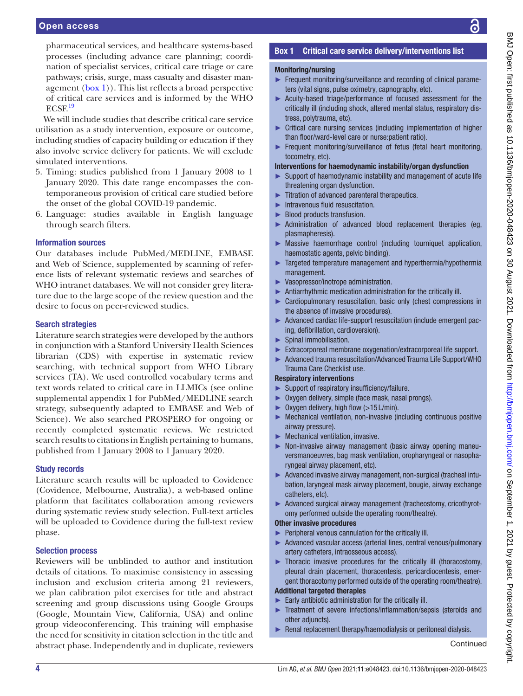pharmaceutical services, and healthcare systems-based processes (including advance care planning; coordination of specialist services, critical care triage or care pathways; crisis, surge, mass casualty and disaster management ([box](#page-3-0) 1)). This list reflects a broad perspective of critical care services and is informed by the WHO  $ECSF<sup>19</sup>$  $ECSF<sup>19</sup>$  $ECSF<sup>19</sup>$ 

We will include studies that describe critical care service utilisation as a study intervention, exposure or outcome, including studies of capacity building or education if they also involve service delivery for patients. We will exclude simulated interventions.

- 5. Timing: studies published from 1 January 2008 to 1 January 2020. This date range encompasses the contemporaneous provision of critical care studied before the onset of the global COVID-19 pandemic.
- 6. Language: studies available in English language through search filters.

### Information sources

Our databases include PubMed/MEDLINE, EMBASE and Web of Science, supplemented by scanning of reference lists of relevant systematic reviews and searches of WHO intranet databases. We will not consider grey literature due to the large scope of the review question and the desire to focus on peer-reviewed studies.

## Search strategies

Literature search strategies were developed by the authors in conjunction with a Stanford University Health Sciences librarian (CDS) with expertise in systematic review searching, with technical support from WHO Library services (TA). We used controlled vocabulary terms and text words related to critical care in LLMICs (see [online](https://dx.doi.org/10.1136/bmjopen-2020-048423) [supplemental appendix 1](https://dx.doi.org/10.1136/bmjopen-2020-048423) for PubMed/MEDLINE search strategy, subsequently adapted to EMBASE and Web of Science). We also searched PROSPERO for ongoing or recently completed systematic reviews. We restricted search results to citations in English pertaining to humans, published from 1 January 2008 to 1 January 2020.

### Study records

Literature search results will be uploaded to Covidence (Covidence, Melbourne, Australia), a web-based online platform that facilitates collaboration among reviewers during systematic review study selection. Full-text articles will be uploaded to Covidence during the full-text review phase.

## Selection process

Reviewers will be unblinded to author and institution details of citations. To maximise consistency in assessing inclusion and exclusion criteria among 21 reviewers, we plan calibration pilot exercises for title and abstract screening and group discussions using Google Groups (Google, Mountain View, California, USA) and online group videoconferencing. This training will emphasise the need for sensitivity in citation selection in the title and abstract phase. Independently and in duplicate, reviewers

## Box 1 Critical care service delivery/interventions list

## <span id="page-3-0"></span>Monitoring/nursing

- ► Frequent monitoring/surveillance and recording of clinical parameters (vital signs, pulse oximetry, capnography, etc).
- ► Acuity-based triage/performance of focused assessment for the critically ill (including shock, altered mental status, respiratory distress, polytrauma, etc).
- ► Critical care nursing services (including implementation of higher than floor/ward-level care or nurse:patient ratio).
- ► Frequent monitoring/surveillance of fetus (fetal heart monitoring, tocometry, etc).

### Interventions for haemodynamic instability/organ dysfunction

- Support of haemodynamic instability and management of acute life threatening organ dysfunction.
- ► Titration of advanced parenteral therapeutics.
- ► Intravenous fluid resuscitation.
- ► Blood products transfusion.
- ► Administration of advanced blood replacement therapies (eg, plasmapheresis).
- ► Massive haemorrhage control (including tourniquet application, haemostatic agents, pelvic binding).
- ► Targeted temperature management and hyperthermia/hypothermia management.
- ► Vasopressor/inotrope administration.
- ► Antiarrhythmic medication administration for the critically ill.
- ► Cardiopulmonary resuscitation, basic only (chest compressions in the absence of invasive procedures).
- ► Advanced cardiac life-support resuscitation (include emergent pacing, defibrillation, cardioversion).
- ► Spinal immobilisation.
- ► Extracorporeal membrane oxygenation/extracorporeal life support.
- ► Advanced trauma resuscitation/Advanced Trauma Life Support/WHO Trauma Care Checklist use.

### Respiratory interventions

- Support of respiratory insufficiency/failure.
- ► Oxygen delivery, simple (face mask, nasal prongs).
- Oxygen delivery, high flow  $(>15$  L/min).
- ► Mechanical ventilation, non-invasive (including continuous positive airway pressure).
- ► Mechanical ventilation, invasive.
- ► Non-invasive airway management (basic airway opening maneuversmanoeuvres, bag mask ventilation, oropharyngeal or nasopharyngeal airway placement, etc).
- ► Advanced invasive airway management, non-surgical (tracheal intubation, laryngeal mask airway placement, bougie, airway exchange catheters, etc).
- ► Advanced surgical airway management (tracheostomy, cricothyrotomy performed outside the operating room/theatre).

### Other invasive procedures

- ► Peripheral venous cannulation for the critically ill.
- ► Advanced vascular access (arterial lines, central venous/pulmonary artery catheters, intraosseous access).
- ► Thoracic invasive procedures for the critically ill (thoracostomy, pleural drain placement, thoracentesis, pericardiocentesis, emergent thoracotomy performed outside of the operating room/theatre).

## Additional targeted therapies

- Early antibiotic administration for the critically ill.
- ► Treatment of severe infections/inflammation/sepsis (steroids and other adjuncts).
- Renal replacement therapy/haemodialysis or peritoneal dialysis.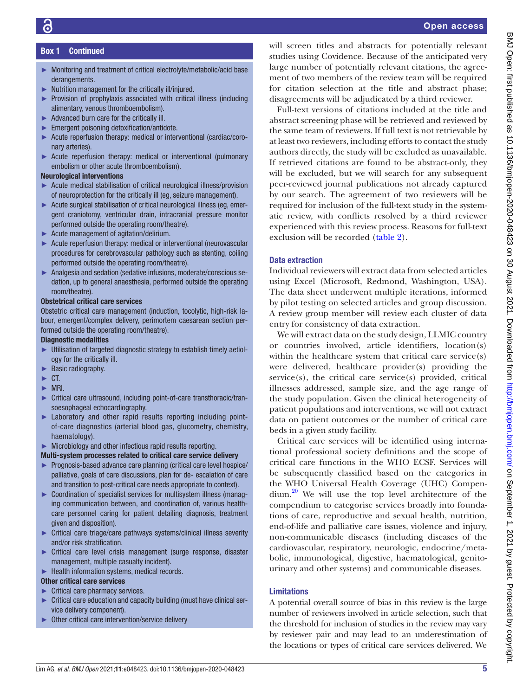## Box 1 Continued

- ► Monitoring and treatment of critical electrolyte/metabolic/acid base derangements.
- ► Nutrition management for the critically ill/injured.
- ► Provision of prophylaxis associated with critical illness (including alimentary, venous thromboembolism).
- ► Advanced burn care for the critically ill.
- ► Emergent poisoning detoxification/antidote.
- ► Acute reperfusion therapy: medical or interventional (cardiac/coronary arteries).
- ► Acute reperfusion therapy: medical or interventional (pulmonary embolism or other acute thromboembolism).

## Neurological interventions

- ► Acute medical stabilisation of critical neurological illness/provision of neuroprotection for the critically ill (eg, seizure management).
- ► Acute surgical stabilisation of critical neurological illness (eg, emergent craniotomy, ventricular drain, intracranial pressure monitor performed outside the operating room/theatre).
- ► Acute management of agitation/delirium.
- ► Acute reperfusion therapy: medical or interventional (neurovascular procedures for cerebrovascular pathology such as stenting, coiling performed outside the operating room/theatre).
- ► Analgesia and sedation (sedative infusions, moderate/conscious sedation, up to general anaesthesia, performed outside the operating room/theatre).

## Obstetrical critical care services

Obstetric critical care management (induction, tocolytic, high-risk labour, emergent/complex delivery, perimortem caesarean section performed outside the operating room/theatre).

## Diagnostic modalities

- ► Utilisation of targeted diagnostic strategy to establish timely aetiology for the critically ill.
- ► Basic radiography.
- $\blacktriangleright$  CT.
- ► MRI.
- ► Critical care ultrasound, including point-of-care transthoracic/transoesophageal echocardiography.
- ► Laboratory and other rapid results reporting including pointof-care diagnostics (arterial blood gas, glucometry, chemistry, haematology).
- ► Microbiology and other infectious rapid results reporting.

## Multi-system processes related to critical care service delivery

- ► Prognosis-based advance care planning (critical care level hospice/ palliative, goals of care discussions, plan for de- escalation of care and transition to post-critical care needs appropriate to context).
- ► Coordination of specialist services for multisystem illness (managing communication between, and coordination of, various healthcare personnel caring for patient detailing diagnosis, treatment given and disposition).
- ► Critical care triage/care pathways systems/clinical illness severity and/or risk stratification.
- ► Critical care level crisis management (surge response, disaster management, multiple casualty incident).
- ► Health information systems, medical records.

## Other critical care services

- ► Critical care pharmacy services.
- ► Critical care education and capacity building (must have clinical service delivery component).
- Other critical care intervention/service delivery

will screen titles and abstracts for potentially relevant studies using Covidence. Because of the anticipated very large number of potentially relevant citations, the agreement of two members of the review team will be required for citation selection at the title and abstract phase; disagreements will be adjudicated by a third reviewer.

Full-text versions of citations included at the title and abstract screening phase will be retrieved and reviewed by the same team of reviewers. If full text is not retrievable by at least two reviewers, including efforts to contact the study authors directly, the study will be excluded as unavailable. If retrieved citations are found to be abstract-only, they will be excluded, but we will search for any subsequent peer-reviewed journal publications not already captured by our search. The agreement of two reviewers will be required for inclusion of the full-text study in the systematic review, with conflicts resolved by a third reviewer experienced with this review process. Reasons for full-text exclusion will be recorded [\(table](#page-5-0) 2).

## Data extraction

Individual reviewers will extract data from selected articles using Excel (Microsoft, Redmond, Washington, USA). The data sheet underwent multiple iterations, informed by pilot testing on selected articles and group discussion. A review group member will review each cluster of data entry for consistency of data extraction.

We will extract data on the study design, LLMIC country or countries involved, article identifiers, location(s) within the healthcare system that critical care service(s) were delivered, healthcare provider(s) providing the service(s), the critical care service(s) provided, critical illnesses addressed, sample size, and the age range of the study population. Given the clinical heterogeneity of patient populations and interventions, we will not extract data on patient outcomes or the number of critical care beds in a given study facility.

Critical care services will be identified using international professional society definitions and the scope of critical care functions in the WHO ECSF. Services will be subsequently classified based on the categories in the WHO Universal Health Coverage (UHC) Compendium.<sup>20</sup> We will use the top level architecture of the compendium to categorise services broadly into foundations of care, reproductive and sexual health, nutrition, end-of-life and palliative care issues, violence and injury, non-communicable diseases (including diseases of the cardiovascular, respiratory, neurologic, endocrine/metabolic, immunological, digestive, haematological, genitourinary and other systems) and communicable diseases.

## Limitations

A potential overall source of bias in this review is the large number of reviewers involved in article selection, such that the threshold for inclusion of studies in the review may vary by reviewer pair and may lead to an underestimation of the locations or types of critical care services delivered. We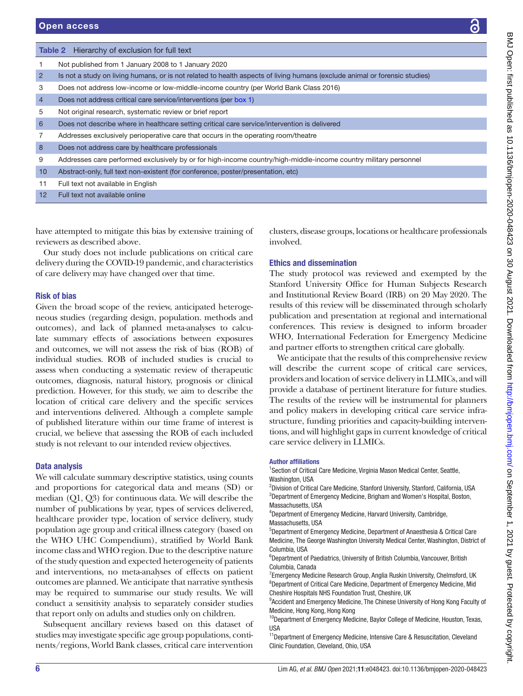<span id="page-5-0"></span>

|                                                                                                                                  | <b>Table 2</b> Hierarchy of exclusion for full text                                                                        |                                 |  |  |
|----------------------------------------------------------------------------------------------------------------------------------|----------------------------------------------------------------------------------------------------------------------------|---------------------------------|--|--|
| 1                                                                                                                                | Not published from 1 January 2008 to 1 January 2020                                                                        |                                 |  |  |
| $\overline{2}$                                                                                                                   | Is not a study on living humans, or is not related to health aspects of living humans (exclude animal or forensic studies) |                                 |  |  |
| 3                                                                                                                                | Does not address low-income or low-middle-income country (per World Bank Class 2016)                                       |                                 |  |  |
| $\overline{4}$                                                                                                                   | Does not address critical care service/interventions (per box 1)                                                           |                                 |  |  |
| 5                                                                                                                                | Not original research, systematic review or brief report                                                                   |                                 |  |  |
| 6                                                                                                                                | Does not describe where in healthcare setting critical care service/intervention is delivered                              |                                 |  |  |
| 7                                                                                                                                | Addresses exclusively perioperative care that occurs in the operating room/theatre                                         |                                 |  |  |
| 8                                                                                                                                | Does not address care by healthcare professionals                                                                          |                                 |  |  |
| 9                                                                                                                                | Addresses care performed exclusively by or for high-income country/high-middle-income country military personnel           |                                 |  |  |
| 10                                                                                                                               | Abstract-only, full text non-existent (for conference, poster/presentation, etc)                                           |                                 |  |  |
| 11                                                                                                                               | Full text not available in English                                                                                         |                                 |  |  |
| 12                                                                                                                               | Full text not available online                                                                                             |                                 |  |  |
|                                                                                                                                  |                                                                                                                            |                                 |  |  |
|                                                                                                                                  |                                                                                                                            |                                 |  |  |
| have attempted to mitigate this bias by extensive training of<br>clusters, disease groups, locations or healthcare professionals |                                                                                                                            |                                 |  |  |
| reviewers as described above.<br>involved.                                                                                       |                                                                                                                            |                                 |  |  |
|                                                                                                                                  | Our study does not include publications on critical care<br>delivery during the COVID-19 pandemic, and characteristics     |                                 |  |  |
|                                                                                                                                  |                                                                                                                            | <b>Ethics and dissemination</b> |  |  |

Our study does not include delivery during the COVID-19 pandemic, and characteristics of care delivery may have changed over that time.

## Risk of bias

Given the broad scope of the review, anticipated heterogeneous studies (regarding design, population. methods and outcomes), and lack of planned meta-analyses to calculate summary effects of associations between exposures and outcomes, we will not assess the risk of bias (ROB) of individual studies. ROB of included studies is crucial to assess when conducting a systematic review of therapeutic outcomes, diagnosis, natural history, prognosis or clinical prediction. However, for this study, we aim to describe the location of critical care delivery and the specific services and interventions delivered. Although a complete sample of published literature within our time frame of interest is crucial, we believe that assessing the ROB of each included study is not relevant to our intended review objectives.

## Data analysis

We will calculate summary descriptive statistics, using counts and proportions for categorical data and means (SD) or median (Q1, Q3) for continuous data. We will describe the number of publications by year, types of services delivered, healthcare provider type, location of service delivery, study population age group and critical illness category (based on the WHO UHC Compendium), stratified by World Bank income class and WHO region. Due to the descriptive nature of the study question and expected heterogeneity of patients and interventions, no meta-analyses of effects on patient outcomes are planned. We anticipate that narrative synthesis may be required to summarise our study results. We will conduct a sensitivity analysis to separately consider studies that report only on adults and studies only on children.

Subsequent ancillary reviews based on this dataset of studies may investigate specific age group populations, continents/regions, World Bank classes, critical care intervention

The study protocol was reviewed and exempted by the Stanford University Office for Human Subjects Research and Institutional Review Board (IRB) on 20 May 2020. The results of this review will be disseminated through scholarly publication and presentation at regional and international conferences. This review is designed to inform broader WHO, International Federation for Emergency Medicine and partner efforts to strengthen critical care globally.

We anticipate that the results of this comprehensive review will describe the current scope of critical care services, providers and location of service delivery in LLMICs, and will provide a database of pertinent literature for future studies. The results of the review will be instrumental for planners and policy makers in developing critical care service infrastructure, funding priorities and capacity-building interventions, and will highlight gaps in current knowledge of critical care service delivery in LLMICs.

## Author affiliations

<sup>1</sup>Section of Critical Care Medicine, Virginia Mason Medical Center, Seattle, Washington, USA

<sup>2</sup>Division of Critical Care Medicine, Stanford University, Stanford, California, USA 3 Department of Emergency Medicine, Brigham and Women's Hospital, Boston, Massachusetts, USA

4 Department of Emergency Medicine, Harvard University, Cambridge, Massachusetts, USA

5 Department of Emergency Medicine, Department of Anaesthesia & Critical Care Medicine, The George Washington University Medical Center, Washington, District of Columbia, USA

6 Department of Paediatrics, University of British Columbia, Vancouver, British Columbia, Canada

<sup>7</sup> Emergency Medicine Research Group, Anglia Ruskin University, Chelmsford, UK 8 Department of Critical Care Medicine, Department of Emergency Medicine, Mid Cheshire Hospitals NHS Foundation Trust, Cheshire, UK

<sup>9</sup> Accident and Emergency Medicine, The Chinese University of Hong Kong Faculty of Medicine, Hong Kong, Hong Kong

<sup>10</sup>Department of Emergency Medicine, Baylor College of Medicine, Houston, Texas, USA

<sup>11</sup>Department of Emergency Medicine, Intensive Care & Resuscitation, Cleveland Clinic Foundation, Cleveland, Ohio, USA